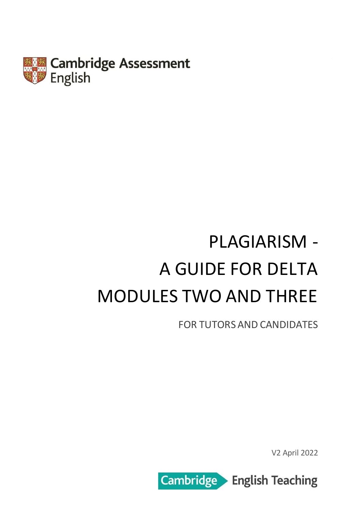

# PLAGIARISM - A GUIDE FOR DELTA MODULES TWO AND THREE

FOR TUTORS AND CANDIDATES

V2 April 2022

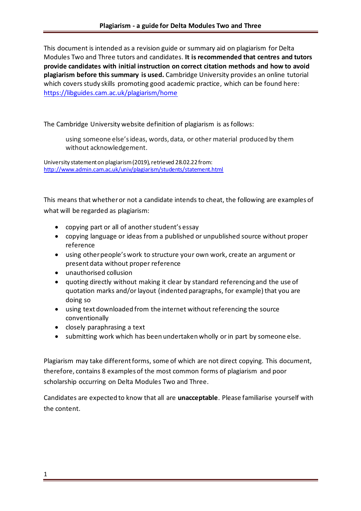This document is intended as a revision guide or summary aid on plagiarism for Delta Modules Two and Three tutors and candidates. **It is recommended that centres and tutors provide candidates with initial instruction on correct citation methods and how to avoid plagiarism before this summary is used.** Cambridge University provides an online tutorial which covers study skills promoting good academic practice, which can be found here: <https://libguides.cam.ac.uk/plagiarism/home>

#### The Cambridge University website definition of plagiarism is as follows:

using someone else's ideas, words, data, or other material produced by them without acknowledgement.

University statement on plagiarism (2019), retrieved 28.02.22from: <http://www.admin.cam.ac.uk/univ/plagiarism/students/statement.html>

This means that whether or not a candidate intends to cheat, the following are examples of what will be regarded as plagiarism:

- copying part or all of another student's essay
- copying language or ideas from a published or unpublished source without proper reference
- using other people's work to structure your own work, create an argument or present data without proper reference
- unauthorised collusion
- quoting directly without making it clear by standard referencing and the use of quotation marks and/or layout (indented paragraphs, for example) that you are doing so
- using text downloaded from the internet without referencing the source conventionally
- closely paraphrasing a text
- submitting work which has been undertaken wholly or in part by someone else.

Plagiarism may take different forms, some of which are not direct copying. This document, therefore, contains 8 examples of the most common forms of plagiarism and poor scholarship occurring on Delta Modules Two and Three.

Candidates are expected to know that all are **unacceptable**. Please familiarise yourself with the content.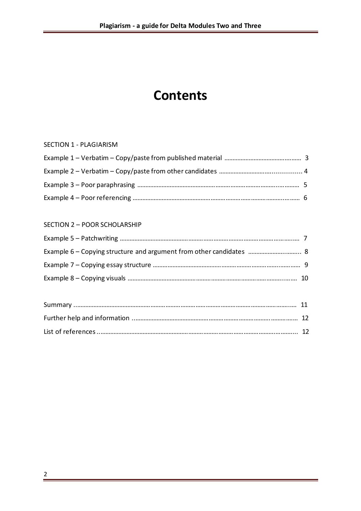# **Contents**

#### SECTION 1 - PLAGIARISM

#### SECTION 2 – POOR SCHOLARSHIP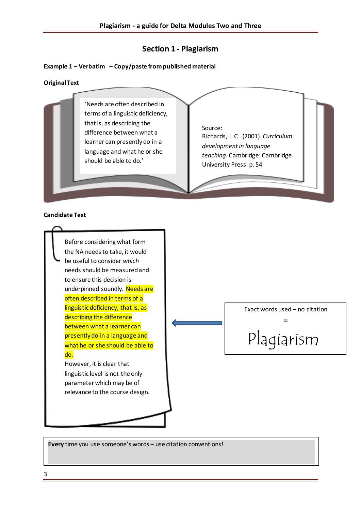#### **Section 1 - Plagiarism**

#### **Example 1 – Verbatim – Copy/paste from published material**

#### **Original Text**



#### **Candidate Text**



**Every** time you use someone's words – use citation conventions!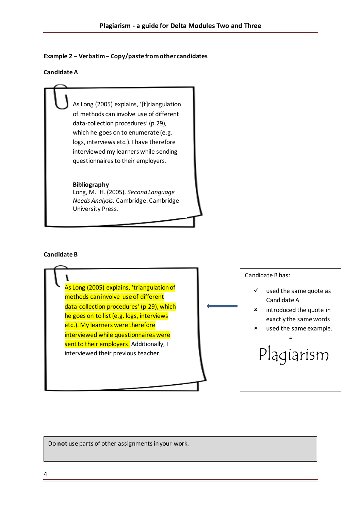#### **Example 2 – Verbatim – Copy/paste from other candidates**

#### **Candidate A**

As Long (2005) explains, '[t]riangulation of methods can involve use of different data-collection procedures' (p.29), which he goes on to enumerate (e.g. logs, interviews etc.). I have therefore interviewed my learners while sending questionnaires to their employers.

#### **Bibliography**

Long, M. H. (2005). *Second Language Needs Analysis*. Cambridge: Cambridge University Press.

#### **Candidate B**



Do **not** use parts of other assignments in your work.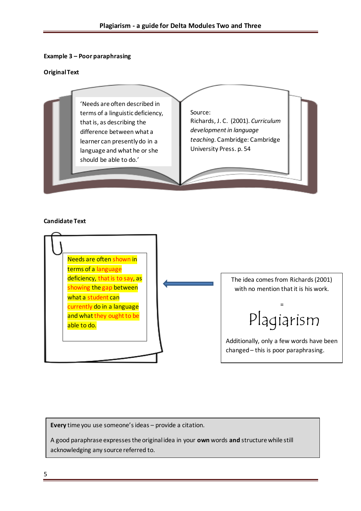#### **Example 3 – Poor paraphrasing**

#### **Original Text**



#### **Candidate Text**



**Every** time you use someone's ideas – provide a citation.

A good paraphrase expresses the original idea in your **own** words **and** structure while still acknowledging any source referred to.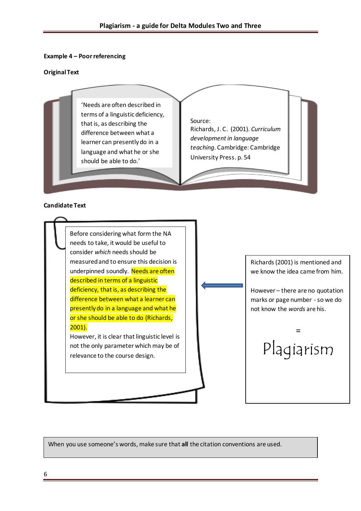#### **Example 4 – Poor referencing**

#### **Original Text**



#### **Candidate Text**



When you use someone's words, make sure that **all** the citation conventions are used.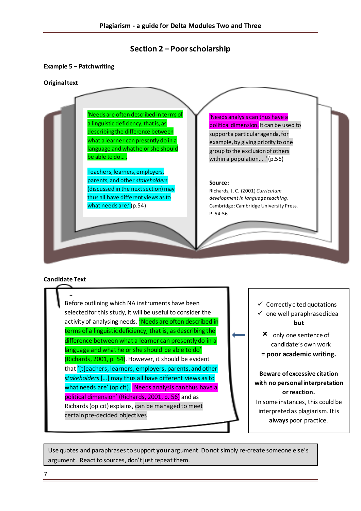### **Section 2 – Poor scholarship**

#### **Example 5 – Patchwriting**

#### **Original text**



#### **Candidate Text**

Before outlining which NA instruments have been selected for this study, it will be useful to consider the activity of analysing needs. 'Needs are often described in terms of a linguistic deficiency, that is, as describing the difference between what a learner can presently do in a language and what he or she should be able to do' (Richards, 2001, p. 54). However, it should be evident that '[t]eachers, learners, employers, parents, and other *stakeholders*[…] may thus all have different views as to what needs are' (op cit). 'Needs analysis can thus have a political dimension' (Richards, 2001, p. 56) and as Richards (op cit) explains, can be managed to meet certain pre-decided objectives.

 $\checkmark$  Correctly cited quotations

- $\checkmark$  one well paraphrased idea **but**
	- only one sentence of candidate's own work
	- **= poor academic writing.**

### **Beware of excessive citation with no personal interpretation or reaction.**

In some instances, this could be interpreted as plagiarism. It is **always** poor practice.

Use quotes and paraphrases to support **your** argument. Do not simply re-create someone else's argument. React to sources, don't just repeat them.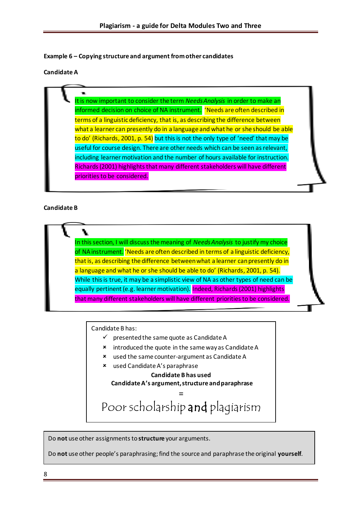**Example 6 – Copying structure and argument from other candidates**

#### **Candidate A**

It is now important to consider the term *Needs Analysis* in order to make an informed decision on choice of NA instrument. 'Needs are often described in terms of a linguistic deficiency, that is, as describing the difference between what a learner can presently do in a language and what he or she should be able to do' (Richards, 2001, p. 54) but this is not the only type of 'need' that may be useful for course design. There are other needs which can be seen as relevant, including learner motivation and the number of hours available for instruction. Richards (2001) highlights that many different stakeholders will have different priorities to be considered.

#### **Candidate B**

In this section, I will discuss the meaning of *Needs Analysis* to justify my choice of NA instrument. 'Needs are often described in terms of a linguistic deficiency, that is, as describing the difference between what a learner can presently do in a language and what he or she should be able to do' (Richards, 2001, p. 54). While this is true, it may be a simplistic view of NA as other types of need can be equally pertinent (e.g. learner motivation). Indeed, Richards (2001) highlights that many different stakeholders will have different priorities to be considered.

Candidate B has:

- $\checkmark$  presented the same quote as Candidate A
- **\*** introduced the quote in the same way as Candidate A
- used the same counter-argument as Candidate A
- used Candidate A's paraphrase

**Candidate B has used Candidate A's argument, structure and paraphrase**

= Poor scholarship and plagiarism

Do **not** use other assignments to **structure** your arguments.

Do **not** use other people's paraphrasing; find the source and paraphrase the original **yourself**.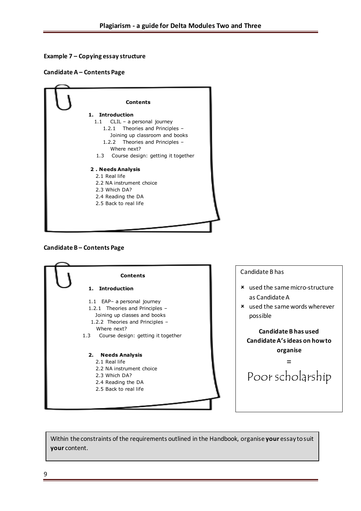#### **Example 7 – Copying essay structure**

**Candidate A – Contents Page**







Within the constraints of the requirements outlined in the Handbook, organise **your** essay to suit **your** content.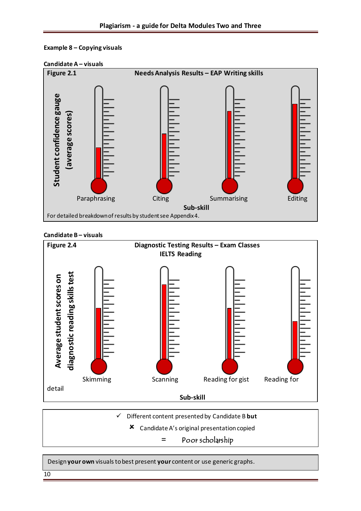







✓ Different content presented by Candidate B **but**

Candidate A's original presentation copied

= Poor scholarship

Design **your own** visuals to best present **your** content or use generic graphs.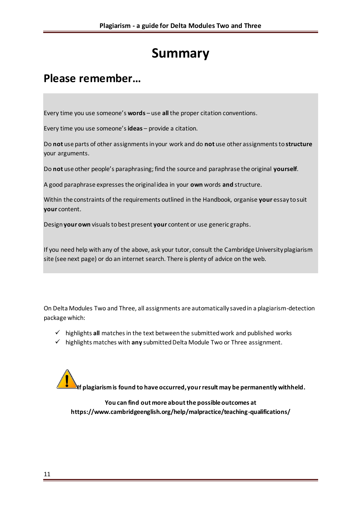# **Summary**

# **Please remember…**

Every time you use someone's **words** – use **all** the proper citation conventions.

Every time you use someone's **ideas** – provide a citation.

Do **not** use parts of other assignments in your work and do **not** use other assignments to **structure**  your arguments.

Do **not** use other people's paraphrasing; find the source and paraphrase the original **yourself**.

A good paraphrase expresses the original idea in your **own** words **and** structure.

Within the constraints of the requirements outlined in the Handbook, organise **your** essay to suit **your** content.

Design **your own** visuals to best present **your** content or use generic graphs.

If you need help with any of the above, ask your tutor, consult the Cambridge University plagiarism site (see next page) or do an internet search. There is plenty of advice on the web.

On Delta Modules Two and Three, all assignments are automatically saved in a plagiarism-detection package which:

- ✓ highlights **all** matches in the text between the submitted work and published works
- ✓ highlights matches with **any** submitted Delta Module Two or Three assignment.

**If plagiarism is found to have occurred, your result may be permanently withheld.**

**You can find out more about the possible outcomes at https://www.cambridgeenglish.org/help/malpractice/teaching-qualifications/**